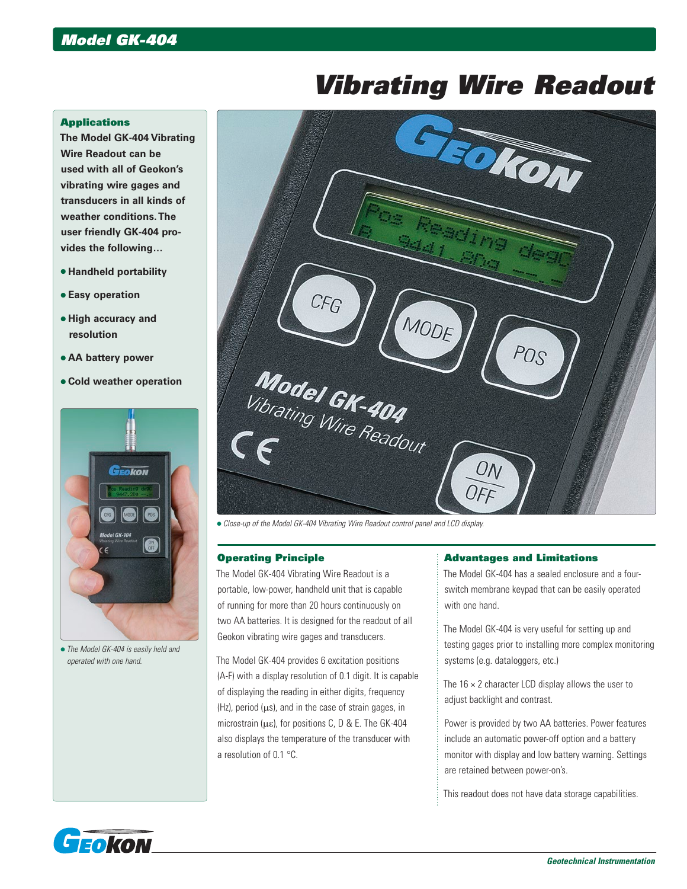# *Vibrating Wire Readout*

## **Applications**

**The Model GK-404 Vibrating Wire Readout can be used with all of Geokon's vibrating wire gages and transducers in all kinds of weather conditions. The user friendly GK-404 provides the following…**

- **Handheld portability**
- **Easy operation**
- **High accuracy and resolution**
- **AA battery power**
- **Cold weather operation**



 *The Model GK-404 is easily held and operated with one hand.*



*Close-up of the Model GK-404 Vibrating Wire Readout control panel and LCD display.*

## Operating Principle

The Model GK-404 Vibrating Wire Readout is a portable, low-power, handheld unit that is capable of running for more than 20 hours continuously on two AA batteries. It is designed for the readout of all Geokon vibrating wire gages and transducers.

The Model GK-404 provides 6 excitation positions (A-F) with a display resolution of 0.1 digit. It is capable of displaying the reading in either digits, frequency  $(Hz)$ , period  $(\mu s)$ , and in the case of strain gages, in microstrain ( $\mu$ ε), for positions C, D & E. The GK-404 also displays the temperature of the transducer with a resolution of 0.1 °C.

## Advantages and Limitations

The Model GK-404 has a sealed enclosure and a fourswitch membrane keypad that can be easily operated with one hand.

The Model GK-404 is very useful for setting up and testing gages prior to installing more complex monitoring systems (e.g. dataloggers, etc.)

The  $16 \times 2$  character LCD display allows the user to adjust backlight and contrast.

Power is provided by two AA batteries. Power features include an automatic power-off option and a battery monitor with display and low battery warning. Settings are retained between power-on's.

This readout does not have data storage capabilities.